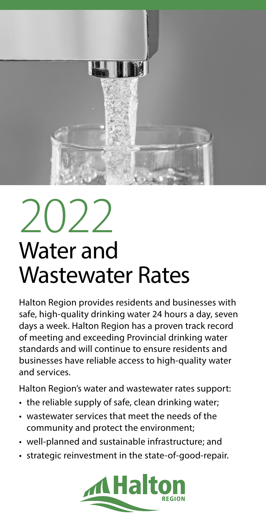

# $2022$ Water and Wastewater Rates

Halton Region provides residents and businesses with safe, high-quality drinking water 24 hours a day, seven days a week. Halton Region has a proven track record of meeting and exceeding Provincial drinking water standards and will continue to ensure residents and businesses have reliable access to high-quality water and services.

Halton Region's water and wastewater rates support:

- the reliable supply of safe, clean drinking water;
- wastewater services that meet the needs of the community and protect the environment;
- well-planned and sustainable infrastructure; and
- strategic reinvestment in the state-of-good-repair.

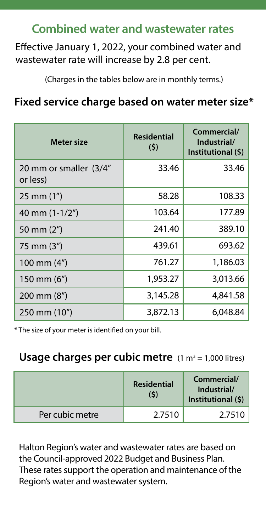# **Combined water and wastewater rates**

Effective January 1, 2022, your combined water and wastewater rate will increase by 2.8 per cent.

<span id="page-1-1"></span>(Charges in the tables below are in monthly terms.)

## **Fixed service charge based on water meter size[\\*](#page-1-0)**

| Meter size                         | <b>Residential</b><br>(5) | Commercial/<br>Industrial/<br>Institutional (\$) |
|------------------------------------|---------------------------|--------------------------------------------------|
| 20 mm or smaller (3/4"<br>or less) | 33.46                     | 33.46                                            |
| $25 \, \text{mm}$ (1")             | 58.28                     | 108.33                                           |
| 40 mm $(1-1/2")$                   | 103.64                    | 177.89                                           |
| 50 mm (2")                         | 241.40                    | 389.10                                           |
| 75 mm (3")                         | 439.61                    | 693.62                                           |
| 100 mm $(4")$                      | 761.27                    | 1,186.03                                         |
| 150 mm $(6")$                      | 1,953.27                  | 3,013.66                                         |
| $200 \text{ mm} (8")$              | 3,145.28                  | 4,841.58                                         |
| 250 mm (10")                       | 3,872.13                  | 6,048.84                                         |

<span id="page-1-0"></span>[\\*](#page-1-1) The size of your meter is identified on your bill.

#### Usage charges per cubic metre (1 m<sup>3</sup> = 1,000 litres)

|                 | <b>Residential</b><br>(\$) | Commercial/<br>Industrial/<br>Institutional (\$) |
|-----------------|----------------------------|--------------------------------------------------|
| Per cubic metre | 2.7510                     | 2.7510                                           |

Halton Region's water and wastewater rates are based on the Council-approved 2022 Budget and Business Plan. These rates support the operation and maintenance of the Region's water and wastewater system.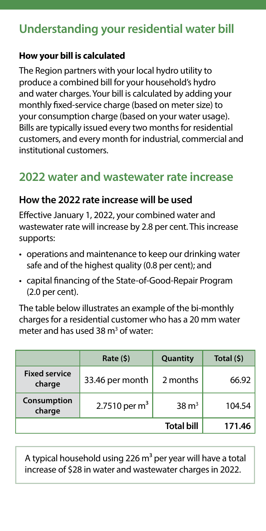# **Understanding your residential water bill**

#### **How your bill is calculated**

The Region partners with your local hydro utility to produce a combined bill for your household's hydro and water charges. Your bill is calculated by adding your monthly fixed-service charge (based on meter size) to your consumption charge (based on your water usage). Bills are typically issued every two months for residential customers, and every month for industrial, commercial and institutional customers.

# **2022 water and wastewater rate increase**

#### **How the 2022 rate increase will be used**

Effective January 1, 2022, your combined water and wastewater rate will increase by 2.8 per cent. This increase supports:

- operations and maintenance to keep our drinking water safe and of the highest quality (0.8 per cent); and
- capital financing of the State-of-Good-Repair Program (2.0 per cent).

The table below illustrates an example of the bi-monthly charges for a residential customer who has a 20 mm water meter and has used 38 m<sup>3</sup> of water:

|                                | Rate (5)         | Quantity          | Total (\$) |
|--------------------------------|------------------|-------------------|------------|
| <b>Fixed service</b><br>charge | 33.46 per month  | 2 months          | 66.92      |
| Consumption<br>charge          | 2.7510 per $m^3$ | $38 \text{ m}^3$  | 104.54     |
|                                |                  | <b>Total bill</b> | 171.46     |

A typical household using 226  $m<sup>3</sup>$  per year will have a total increase of \$28 in water and wastewater charges in 2022.